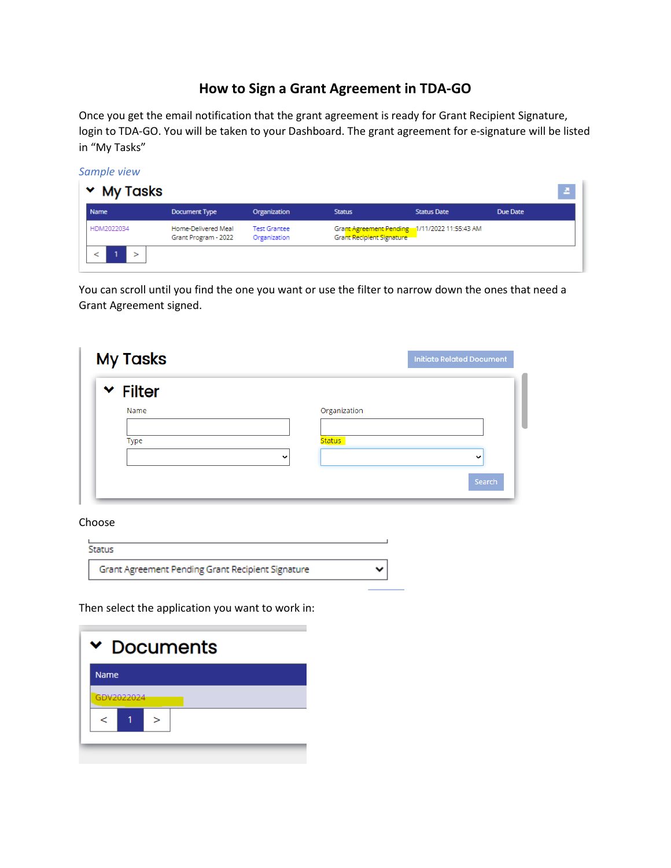## **How to Sign a Grant Agreement in TDA-GO**

Once you get the email notification that the grant agreement is ready for Grant Recipient Signature, login to TDA-GO. You will be taken to your Dashboard. The grant agreement for e-signature will be listed in "My Tasks"

*Sample view*



You can scroll until you find the one you want or use the filter to narrow down the ones that need a Grant Agreement signed.

| <b>My Tasks</b>                 |               | <b>Initiate Related Document</b> |
|---------------------------------|---------------|----------------------------------|
| $\overline{\phantom{a}}$ Filter |               |                                  |
| Name                            | Organization  |                                  |
| Type                            | <b>Status</b> |                                  |
|                                 | $\check{ }$   | $\check{ }$                      |
|                                 |               | Search                           |

## Choose

m.

| Grant Agreement Pending Grant Recipient Signature |  |
|---------------------------------------------------|--|

Then select the application you want to work in:

| <b>Documents</b> |            |  |  |  |
|------------------|------------|--|--|--|
| <b>Name</b>      |            |  |  |  |
|                  | GDV2022024 |  |  |  |
|                  |            |  |  |  |
|                  |            |  |  |  |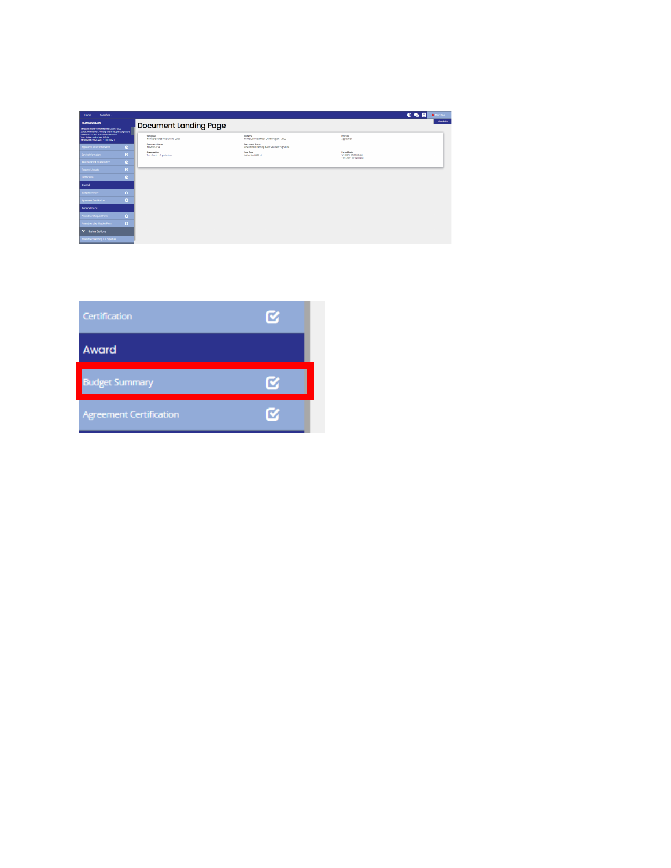| Searches -<br>Home.                                                                                                      |              |                                              |                                                                       | 0 2 5<br>$\bullet$ Mary Sue +                                       |
|--------------------------------------------------------------------------------------------------------------------------|--------------|----------------------------------------------|-----------------------------------------------------------------------|---------------------------------------------------------------------|
| HDM2022034<br>Template: Home-Delivered Meal Grant - 2022<br>Status: Amendment Pending Grant Recipient Signature          |              | <b>Document Landing Page</b>                 |                                                                       | <b>New Note</b>                                                     |
| <b>Organization: Test Grantee Organization</b><br>Your Role(Q Authorized O'Ecla)<br>Period Date: 09/01/2021 - 11/01/2021 |              | Template<br>Home Delivered Meal Grant - 2022 | Instance<br>Home-Delivered Meal Grant Program - 2022                  | Process<br>Application                                              |
| Applicant Contact Information                                                                                            | $\alpha$     | <b>Document Name</b><br><b>HDM2022034</b>    | <b>Document Status</b><br>Amendment Pending Grant Recipient Signature |                                                                     |
| Service Information                                                                                                      | $\alpha$     | Organization<br>Test Grantee Organization    | Your Role<br>Authorized Official                                      | <b>Period Date</b><br>9/1/2021 12:00:00 AM<br>11/1/2021 11:59:00 PM |
| Meal Number Documentation                                                                                                | $\mathbf{G}$ |                                              |                                                                       |                                                                     |
| Required Uploads                                                                                                         | $\alpha$     |                                              |                                                                       |                                                                     |
| Certification                                                                                                            | $\alpha$     |                                              |                                                                       |                                                                     |
| Award                                                                                                                    |              |                                              |                                                                       |                                                                     |
| Budget Summary                                                                                                           | $\Omega$     |                                              |                                                                       |                                                                     |
| Agreement Cartification                                                                                                  | $\Omega$     |                                              |                                                                       |                                                                     |
| Amendment                                                                                                                |              |                                              |                                                                       |                                                                     |
| Amendment Request Form                                                                                                   | $\Omega$     |                                              |                                                                       |                                                                     |
| Amendment Certification Form                                                                                             | $\Omega$     |                                              |                                                                       |                                                                     |
| V Status Options                                                                                                         |              |                                              |                                                                       |                                                                     |
| Amendment Pending TDA Signature                                                                                          |              |                                              |                                                                       |                                                                     |

| Certification                  | o |
|--------------------------------|---|
| Award                          |   |
| <b>Budget Summary</b>          |   |
| <b>Agreement Certification</b> |   |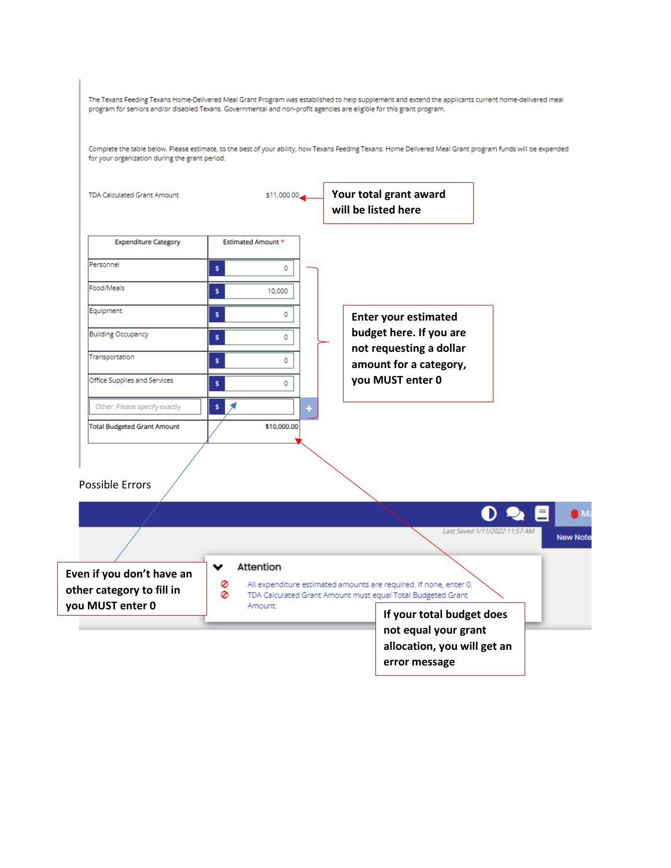| Even if you don't have an                                     | <b>Attention</b><br>v<br>0 | Last Saved 1/11/2022 11:57 AM<br><b>New Not</b><br>All expenditure estimated amounts are required. If none, enter 0. |
|---------------------------------------------------------------|----------------------------|----------------------------------------------------------------------------------------------------------------------|
| <b>Possible Errors</b>                                        |                            |                                                                                                                      |
| <b>Total Budgeted Grant Amount</b>                            | \$10,000.00                |                                                                                                                      |
| Office Supplies and Services<br>Other: Please specify exactly | \$<br>0<br>\$              | you MUST enter 0                                                                                                     |
| Transportation                                                | \$<br>0                    | not requesting a dollar<br>amount for a category,                                                                    |
| <b>Building Occupancy</b>                                     | \$<br>0                    | <b>Enter your estimated</b><br>budget here. If you are                                                               |
| Food/Meals<br>Equipment                                       | \$<br>10,000<br>\$<br>0    |                                                                                                                      |
| Personnel                                                     | \$<br>0                    |                                                                                                                      |
| <b>Expenditure Category</b>                                   | <b>Estimated Amount *</b>  |                                                                                                                      |
| <b>TDA Calculated Grant Amount</b>                            | \$11,000.00                | Your total grant award<br>will be listed here                                                                        |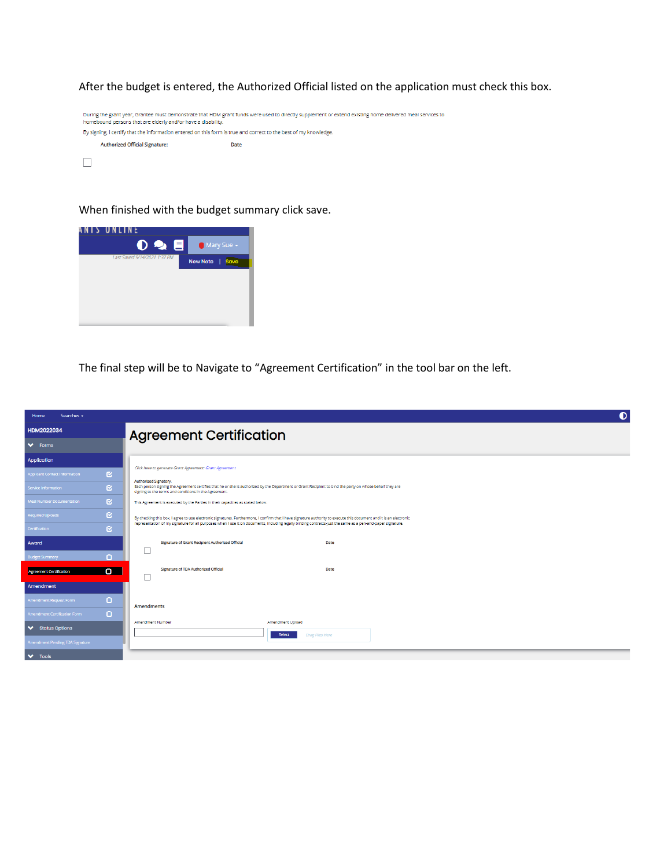After the budget is entered, the Authorized Official listed on the application must check this box.



When finished with the budget summary click save.



The final step will be to Navigate to "Agreement Certification" in the tool bar on the left.

| Searches -<br>Home                               | $\bullet$                                                                                                                                                                                                                                  |  |  |  |  |  |
|--------------------------------------------------|--------------------------------------------------------------------------------------------------------------------------------------------------------------------------------------------------------------------------------------------|--|--|--|--|--|
| HDM2022034                                       | <b>Agreement Certification</b>                                                                                                                                                                                                             |  |  |  |  |  |
| $\blacktriangleright$ Forms                      |                                                                                                                                                                                                                                            |  |  |  |  |  |
| Application                                      |                                                                                                                                                                                                                                            |  |  |  |  |  |
| $\alpha$<br><b>Applicant Contact Information</b> | Click here to generate Grant Agreement: Grant Agreement                                                                                                                                                                                    |  |  |  |  |  |
| Q.<br>Service Information                        | Authorized Signatory.<br>Each person signing the Agreement certifies that he or she is authorized by the Department or Grant Recipient to bind the party on whose behalf they are<br>signing to the terms and conditions in the Agreement. |  |  |  |  |  |
| <b>Ø</b><br><b>Meal Number Documentation</b>     | This Agreement is executed by the Parties in their capacities as stated below.                                                                                                                                                             |  |  |  |  |  |
| <b>Ø</b><br><b>Required Uploads</b>              | By checking this box, I agree to use electronic signatures. Furthermore, I confirm that I have signature authority to execute this document and it is an electronic                                                                        |  |  |  |  |  |
| <b>R</b><br>Certification                        | representation of my signature for all purposes when I use it on documents, including legally binding contracts-just the same as a pen-and-paper signature.                                                                                |  |  |  |  |  |
| Award                                            | Signature of Grant Recipient Authorized Official<br>Date                                                                                                                                                                                   |  |  |  |  |  |
| n<br><b>Budget Summary</b>                       |                                                                                                                                                                                                                                            |  |  |  |  |  |
| $\Box$<br><b>Agreement Certification</b>         | Signature of TDA Authorized Official<br>Date                                                                                                                                                                                               |  |  |  |  |  |
| Amendment                                        |                                                                                                                                                                                                                                            |  |  |  |  |  |
| o<br>Amendment Request Form                      | <b>Amendments</b>                                                                                                                                                                                                                          |  |  |  |  |  |
| Ω<br>Amendment Certification Form                |                                                                                                                                                                                                                                            |  |  |  |  |  |
| <b>◆</b> Status Options                          | Amendment Number<br>Amendment Upload<br>Select<br><b>Drag Files Here</b>                                                                                                                                                                   |  |  |  |  |  |
| Amendment Pending TDA Signature                  |                                                                                                                                                                                                                                            |  |  |  |  |  |
| $\blacktriangleright$ Tools                      |                                                                                                                                                                                                                                            |  |  |  |  |  |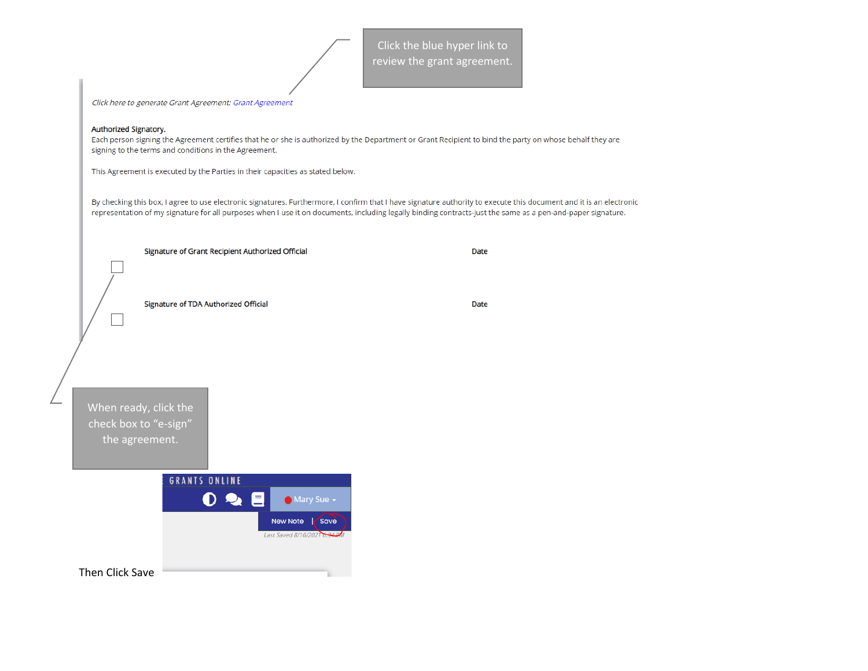Click here to generate Grant Agreement: Grant Agreement Authorized Signatory. Each person signing the Agreement certifies that he or she is authorized by the Department or Grant Recipient to bind the party on whose behalf they are signing to the terms and conditions in the Agreement. This Agreement is executed by the Parties in their capacities as stated below. By checking this box, I agree to use electronic signatures. Furthermore, I confirm that I have signature authority to execute this document and it is an electronic representation of my signature for all purposes when I use it on documents, including legally binding contracts-just the same as a pen-and-paper signature. Signature of Grant Recipient Authorized Official **Date** Signature of TDA Authorized Official Date When ready, click the check box to "e-sign" the agreement.**GRANTS ONLINE**  $0$  &  $\blacksquare$ Mary Sue -New Note | Save Last Saved 8/16/2021 0.34 PM Then Click Save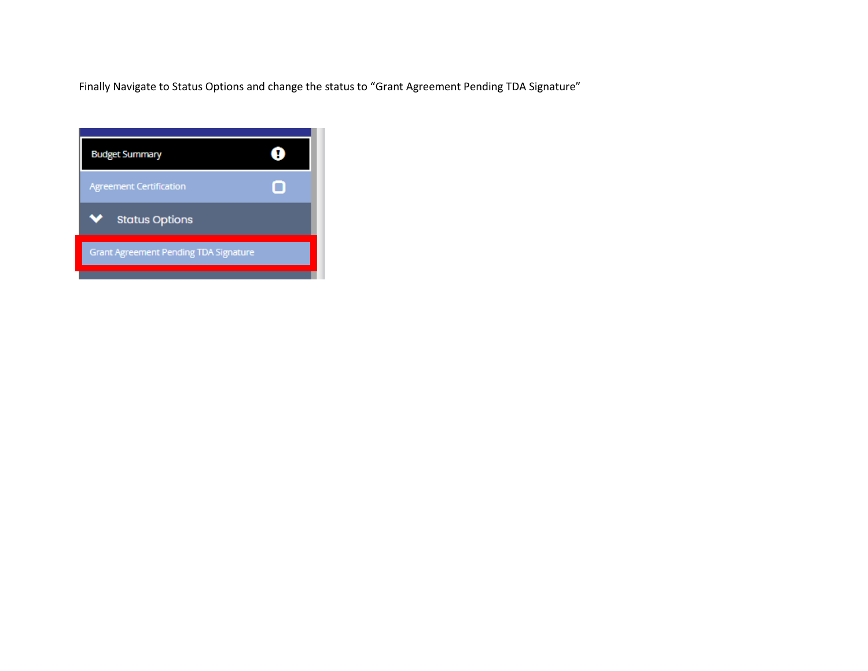Finally Navigate to Status Options and change the status to "Grant Agreement Pending TDA Signature"

| <b>Agreement Certification</b><br><b>Status Options</b><br>v |  |
|--------------------------------------------------------------|--|
|                                                              |  |
|                                                              |  |
| <b>Grant Agreement Pending TDA Signature</b>                 |  |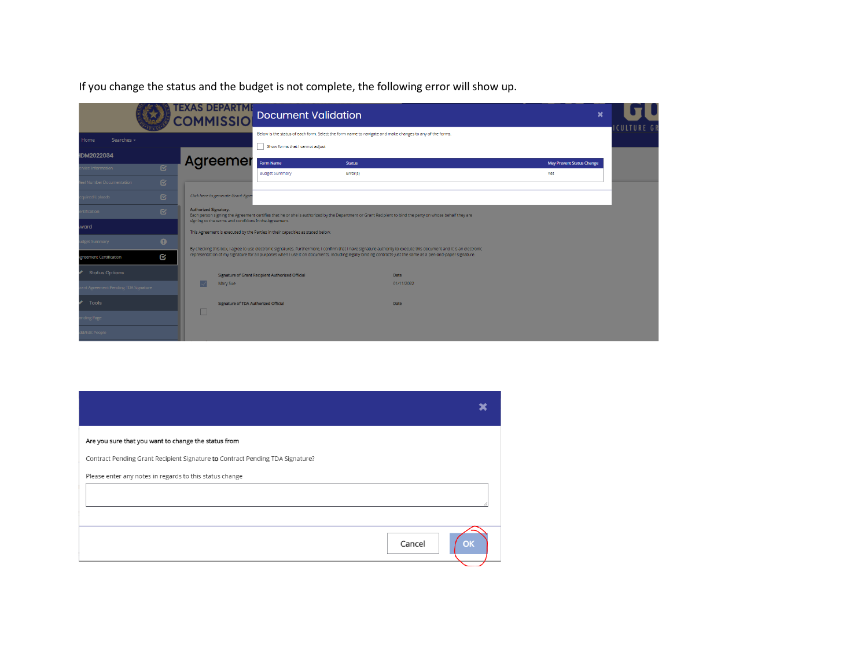If you change the status and the budget is not complete, the following error will show up.

|                                    |              | <b>TEXAS DEPARTME</b><br><b>COMMISSIO</b> | <b>Document Validation</b>                                                                                                                               |                                                                                                          |                                                                                                                                                                     | $\boldsymbol{\mathsf{x}}$ |             |
|------------------------------------|--------------|-------------------------------------------|----------------------------------------------------------------------------------------------------------------------------------------------------------|----------------------------------------------------------------------------------------------------------|---------------------------------------------------------------------------------------------------------------------------------------------------------------------|---------------------------|-------------|
| Searches -<br>Home                 |              |                                           | Show forms that I cannot adjust                                                                                                                          | Below is the status of each form. Select the form name to navigate and make changes to any of the forms. |                                                                                                                                                                     |                           | ICULTURE GF |
| IDM2022034                         |              | Agreemer                                  | Form Name                                                                                                                                                | <b>Status</b>                                                                                            |                                                                                                                                                                     | May Prevent Status Change |             |
| vice Information                   | $\mathbf{K}$ |                                           | <b>Budget Summary</b>                                                                                                                                    | Error(s)                                                                                                 |                                                                                                                                                                     | Yes                       |             |
| al Number Documentation            | $\mathbf{C}$ |                                           |                                                                                                                                                          |                                                                                                          |                                                                                                                                                                     |                           |             |
| quired Uploads                     | $\mathbf{z}$ | Click here to generate Grant Agre         |                                                                                                                                                          |                                                                                                          |                                                                                                                                                                     |                           |             |
| tification                         | $\mathbf{z}$ | Authorized Signatory.                     | Each person signing the Agreement certifies that he or she is authorized by the Department or Grant Recipient to bind the party on whose behalf they are |                                                                                                          |                                                                                                                                                                     |                           |             |
| ward                               |              |                                           | signing to the terms and conditions in the Agreement.<br>This Agreement is executed by the Parties in their capacities as stated below.                  |                                                                                                          |                                                                                                                                                                     |                           |             |
| dget Summary                       | $\bullet$    |                                           |                                                                                                                                                          |                                                                                                          | By checking this box, I agree to use electronic signatures. Furthermore, I confirm that I have signature authority to execute this document and it is an electronic |                           |             |
| greement Certification             | Q            |                                           |                                                                                                                                                          |                                                                                                          | representation of my signature for all purposes when I use it on documents, including legally binding contracts-just the same as a pen-and-paper signature.         |                           |             |
| <b>Status Options</b>              |              |                                           | Signature of Grant Recipient Authorized Official                                                                                                         |                                                                                                          | <b>Date</b>                                                                                                                                                         |                           |             |
| nt Agreement Pending TDA Signature |              |                                           | Mary Sue                                                                                                                                                 |                                                                                                          | 01/11/2022                                                                                                                                                          |                           |             |
| Tools                              |              |                                           | Signature of TDA Authorized Official                                                                                                                     |                                                                                                          | <b>Date</b>                                                                                                                                                         |                           |             |
| ding Page                          |              | $\Box$                                    |                                                                                                                                                          |                                                                                                          |                                                                                                                                                                     |                           |             |
| d/Edit People                      |              |                                           |                                                                                                                                                          |                                                                                                          |                                                                                                                                                                     |                           |             |

| Are you sure that you want to change the status from                          |        |
|-------------------------------------------------------------------------------|--------|
| Contract Pending Grant Recipient Signature to Contract Pending TDA Signature? |        |
| Please enter any notes in regards to this status change                       |        |
|                                                                               |        |
|                                                                               |        |
|                                                                               | Cancel |